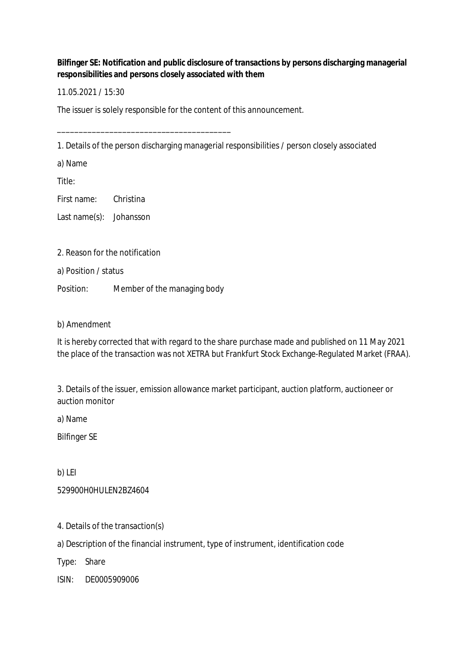**Bilfinger SE: Notification and public disclosure of transactions by persons discharging managerial responsibilities and persons closely associated with them**

11.05.2021 / 15:30

The issuer is solely responsible for the content of this announcement.

1. Details of the person discharging managerial responsibilities / person closely associated

a) Name

Title:

First name: Christina

Last name(s): Johansson

2. Reason for the notification

a) Position / status

Position: Member of the managing body

\_\_\_\_\_\_\_\_\_\_\_\_\_\_\_\_\_\_\_\_\_\_\_\_\_\_\_\_\_\_\_\_\_\_\_\_\_\_\_\_

b) Amendment

It is hereby corrected that with regard to the share purchase made and published on 11 May 2021 the place of the transaction was not XETRA but Frankfurt Stock Exchange-Regulated Market (FRAA).

3. Details of the issuer, emission allowance market participant, auction platform, auctioneer or auction monitor

a) Name

Bilfinger SE

b) LEI

529900H0HULEN2BZ4604

4. Details of the transaction(s)

a) Description of the financial instrument, type of instrument, identification code

Type: Share

ISIN: DE0005909006